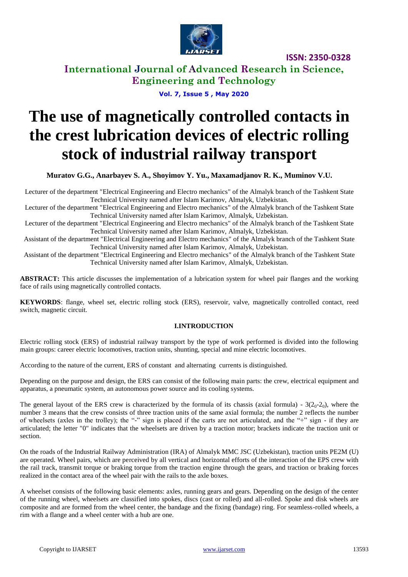

**International Journal of Advanced Research in Science, Engineering and Technology**

**Vol. 7, Issue 5 , May 2020**

# **The use of magnetically controlled contacts in the crest lubrication devices of electric rolling stock of industrial railway transport**

**Muratov G.G., Anarbayev S. A., Shoyimov Y. Yu., Maxamadjanov R. K., Muminov V.U.**

Lecturer of the department "Electrical Engineering and Electro mechanics" of the Almalyk branch of the Tashkent State Technical University named after Islam Karimov, Almalyk, Uzbekistan.

Lecturer of the department "Electrical Engineering and Electro mechanics" of the Almalyk branch of the Tashkent State Technical University named after Islam Karimov, Almalyk, Uzbekistan.

Lecturer of the department "Electrical Engineering and Electro mechanics" of the Almalyk branch of the Tashkent State Technical University named after Islam Karimov, Almalyk, Uzbekistan.

Assistant of the department "Electrical Engineering and Electro mechanics" of the Almalyk branch of the Tashkent State Technical University named after Islam Karimov, Almalyk, Uzbekistan.

Assistant of the department "Electrical Engineering and Electro mechanics" of the Almalyk branch of the Tashkent State Technical University named after Islam Karimov, Almalyk, Uzbekistan.

**ABSTRACT:** This article discusses the implementation of a lubrication system for wheel pair flanges and the working face of rails using magnetically controlled contacts.

**KEYWORDS**: flange, wheel set, electric rolling stock (ERS), reservoir, valve, magnetically controlled contact, reed switch, magnetic circuit.

#### **I.INTRODUCTION**

Electric rolling stock (ERS) of industrial railway transport by the type of work performed is divided into the following main groups: career electric locomotives, traction units, shunting, special and mine electric locomotives.

According to the nature of the current, ERS of constant and alternating currents is distinguished.

Depending on the purpose and design, the ERS can consist of the following main parts: the crew, electrical equipment and apparatus, a pneumatic system, an autonomous power source and its cooling systems.

The general layout of the ERS crew is characterized by the formula of its chassis (axial formula) -  $3(2<sub>0</sub>-2<sub>0</sub>)$ , where the number 3 means that the crew consists of three traction units of the same axial formula; the number 2 reflects the number of wheelsets (axles in the trolley); the "-" sign is placed if the carts are not articulated, and the "+" sign - if they are articulated; the letter "0" indicates that the wheelsets are driven by a traction motor; brackets indicate the traction unit or section.

On the roads of the Industrial Railway Administration (IRA) of Almalyk MMC JSC (Uzbekistan), traction units PE2M (U) are operated. Wheel pairs, which are perceived by all vertical and horizontal efforts of the interaction of the EPS crew with the rail track, transmit torque or braking torque from the traction engine through the gears, and traction or braking forces realized in the contact area of the wheel pair with the rails to the axle boxes.

A wheelset consists of the following basic elements: axles, running gears and gears. Depending on the design of the center of the running wheel, wheelsets are classified into spokes, discs (cast or rolled) and all-rolled. Spoke and disk wheels are composite and are formed from the wheel center, the bandage and the fixing (bandage) ring. For seamless-rolled wheels, a rim with a flange and a wheel center with a hub are one.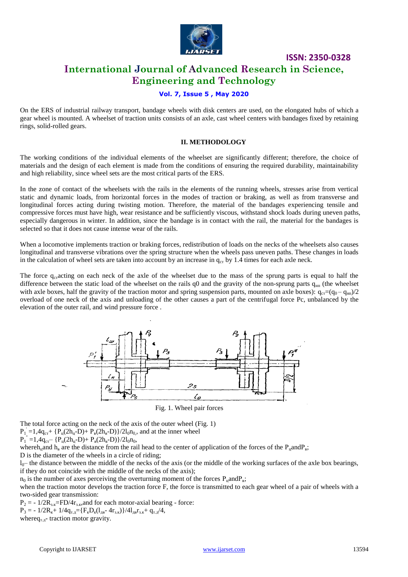

### **International Journal of Advanced Research in Science, Engineering and Technology**

### **Vol. 7, Issue 5 , May 2020**

On the ERS of industrial railway transport, bandage wheels with disk centers are used, on the elongated hubs of which a gear wheel is mounted. A wheelset of traction units consists of an axle, cast wheel centers with bandages fixed by retaining rings, solid-rolled gears.

#### **II. METHODOLOGY**

The working conditions of the individual elements of the wheelset are significantly different; therefore, the choice of materials and the design of each element is made from the conditions of ensuring the required durability, maintainability and high reliability, since wheel sets are the most critical parts of the ERS.

In the zone of contact of the wheelsets with the rails in the elements of the running wheels, stresses arise from vertical static and dynamic loads, from horizontal forces in the modes of traction or braking, as well as from transverse and longitudinal forces acting during twisting motion. Therefore, the material of the bandages experiencing tensile and compressive forces must have high, wear resistance and be sufficiently viscous, withstand shock loads during uneven paths, especially dangerous in winter. In addition, since the bandage is in contact with the rail, the material for the bandages is selected so that it does not cause intense wear of the rails.

When a locomotive implements traction or braking forces, redistribution of loads on the necks of the wheelsets also causes longitudinal and transverse vibrations over the spring structure when the wheels pass uneven paths. These changes in loads in the calculation of wheel sets are taken into account by an increase in  $q_{cr}$  by 1.4 times for each axle neck.

The force  $q_{cr}$  acting on each neck of the axle of the wheelset due to the mass of the sprung parts is equal to half the difference between the static load of the wheelset on the rails  $q_0$  and the gravity of the non-sprung parts  $q_{\text{III}}$  (the wheelset with axle boxes, half the gravity of the traction motor and spring suspension parts, mounted on axle boxes):  $q_{cr} = (q_0 - q_{HI})/2$ overload of one neck of the axis and unloading of the other causes a part of the centrifugal force Pc, unbalanced by the elevation of the outer rail, and wind pressure force .



Fig. 1. Wheel pair forces

The total force acting on the neck of the axis of the outer wheel (Fig. 1)

 $P_1$  = 1,4q<sub>cr</sub>+ { $P_{\text{II}}(2h_{\text{II}}-D)$ +  $P_{\text{B}}(2h_{\text{B}}-D)$ }/2l<sub>0</sub>n<sub>0</sub>, and at the inner wheel

 $P_1^{\dagger} = 1,4q_{cr} - \{P_{\text{II}}(2h_{\text{II}}-D) + P_{\text{B}}(2h_{\text{B}}-D)\}/2l_0n_0,$ 

whereh<sub>u</sub>and h<sub>B</sub> are the distance from the rail head to the center of application of the forces of the P<sub>u</sub>andP<sub>B</sub>;

D is the diameter of the wheels in a circle of riding;

 $l_0$ — the distance between the middle of the necks of the axis (or the middle of the working surfaces of the axle box bearings, if they do not coincide with the middle of the necks of the axis);

 $n_0$  is the number of axes perceiving the overturning moment of the forces  $P_u$  and  $P_s$ ;

when the traction motor develops the traction force F, the force is transmitted to each gear wheel of a pair of wheels with a two-sided gear transmission:

 $P_2 = -1/2R_{3,K} = FD/4r_{3,K}$ , and for each motor-axial bearing - force:

 $P_3 = -1/2R_{\kappa}+1/4q_{\text{L},\bar{\mu}} = \{F_{\kappa}D_{\kappa}(l_{\text{L},\bar{\mu}}-4r_{\text{3},\kappa})\}/4l_{\text{L},\bar{\mu}}r_{\text{3},\kappa}+q_{\text{L},\bar{\mu}}/4,$ where $q_{T,T}$ - traction motor gravity.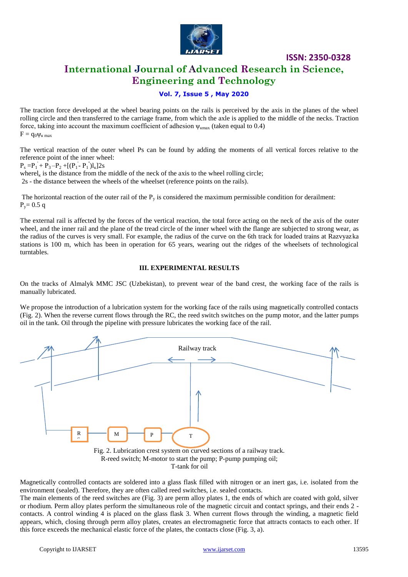

### **International Journal of Advanced Research in Science, Engineering and Technology**

### **Vol. 7, Issue 5 , May 2020**

The traction force developed at the wheel bearing points on the rails is perceived by the axis in the planes of the wheel rolling circle and then transferred to the carriage frame, from which the axle is applied to the middle of the necks. Traction force, taking into account the maximum coefficient of adhesion  $\psi_{\text{kmax}}$  (taken equal to 0.4)  $F = q_0 \Psi_{\kappa \max}$ 

The vertical reaction of the outer wheel Ps can be found by adding the moments of all vertical forces relative to the reference point of the inner wheel:

 $P_s = P_1 + P_3 - P_2 + [(P_1 - P_1)]_k$ ]2s

wherel<sub>k</sub> is the distance from the middle of the neck of the axis to the wheel rolling circle;

2s - the distance between the wheels of the wheelset (reference points on the rails).

The horizontal reaction of the outer rail of the  $P_y$  is considered the maximum permissible condition for derailment:  $P_v = 0.5$  q

The external rail is affected by the forces of the vertical reaction, the total force acting on the neck of the axis of the outer wheel, and the inner rail and the plane of the tread circle of the inner wheel with the flange are subjected to strong wear, as the radius of the curves is very small. For example, the radius of the curve on the 6th track for loaded trains at Razvyazka stations is 100 m, which has been in operation for 65 years, wearing out the ridges of the wheelsets of technological turntables.

#### **III. EXPERIMENTAL RESULTS**

On the tracks of Almalyk MMC JSC (Uzbekistan), to prevent wear of the band crest, the working face of the rails is manually lubricated.

We propose the introduction of a lubrication system for the working face of the rails using magnetically controlled contacts (Fig. 2). When the reverse current flows through the RC, the reed switch switches on the pump motor, and the latter pumps oil in the tank. Oil through the pipeline with pressure lubricates the working face of the rail.



Magnetically controlled contacts are soldered into a glass flask filled with nitrogen or an inert gas, i.e. isolated from the р environment (sealed). Therefore, they are often called reed switches, i.e. sealed contacts.

The main elements of the reed switches are (Fig. 3) are perm alloy plates 1, the ends of which are coated with gold, silver or rhodium. Perm alloy plates perform the simultaneous role of the magnetic circuit and contact springs, and their ends 2 contacts. A control winding 4 is placed on the glass flask 3. When current flows through the winding, a magnetic field appears, which, closing through perm alloy plates, creates an electromagnetic force that attracts contacts to each other. If this force exceeds the mechanical elastic force of the plates, the contacts close (Fig. 3, a).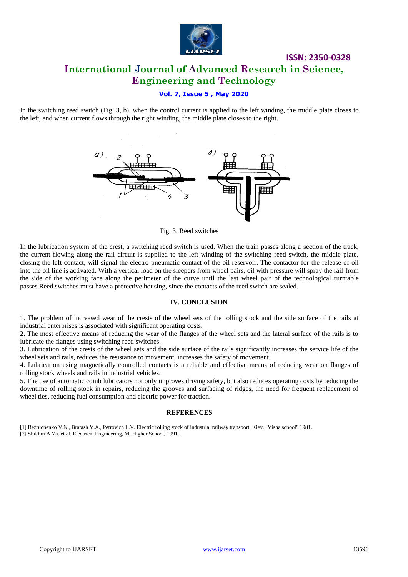

### **ISSN: 2350-0328 International Journal of Advanced Research in Science, Engineering and Technology**

### **Vol. 7, Issue 5 , May 2020**

In the switching reed switch (Fig. 3, b), when the control current is applied to the left winding, the middle plate closes to the left, and when current flows through the right winding, the middle plate closes to the right.



Fig. 3. Reed switches

In the lubrication system of the crest, a switching reed switch is used. When the train passes along a section of the track, the current flowing along the rail circuit is supplied to the left winding of the switching reed switch, the middle plate, closing the left contact, will signal the electro-pneumatic contact of the oil reservoir. The contactor for the release of oil into the oil line is activated. With a vertical load on the sleepers from wheel pairs, oil with pressure will spray the rail from the side of the working face along the perimeter of the curve until the last wheel pair of the technological turntable passes.Reed switches must have a protective housing, since the contacts of the reed switch are sealed.

#### **IV. CONCLUSION**

1. The problem of increased wear of the crests of the wheel sets of the rolling stock and the side surface of the rails at industrial enterprises is associated with significant operating costs.

2. The most effective means of reducing the wear of the flanges of the wheel sets and the lateral surface of the rails is to lubricate the flanges using switching reed switches.

3. Lubrication of the crests of the wheel sets and the side surface of the rails significantly increases the service life of the wheel sets and rails, reduces the resistance to movement, increases the safety of movement.

4. Lubrication using magnetically controlled contacts is a reliable and effective means of reducing wear on flanges of rolling stock wheels and rails in industrial vehicles.

5. The use of automatic comb lubricators not only improves driving safety, but also reduces operating costs by reducing the downtime of rolling stock in repairs, reducing the grooves and surfacing of ridges, the need for frequent replacement of wheel ties, reducing fuel consumption and electric power for traction.

#### **REFERENCES**

[1].Bezruchenko V.N., Bratash V.A., Petrovich L.V. Electric rolling stock of industrial railway transport. Kiev, "Visha school" 1981. [2].Shikhin A.Ya. et al. Electrical Engineering, M, Higher School, 1991.